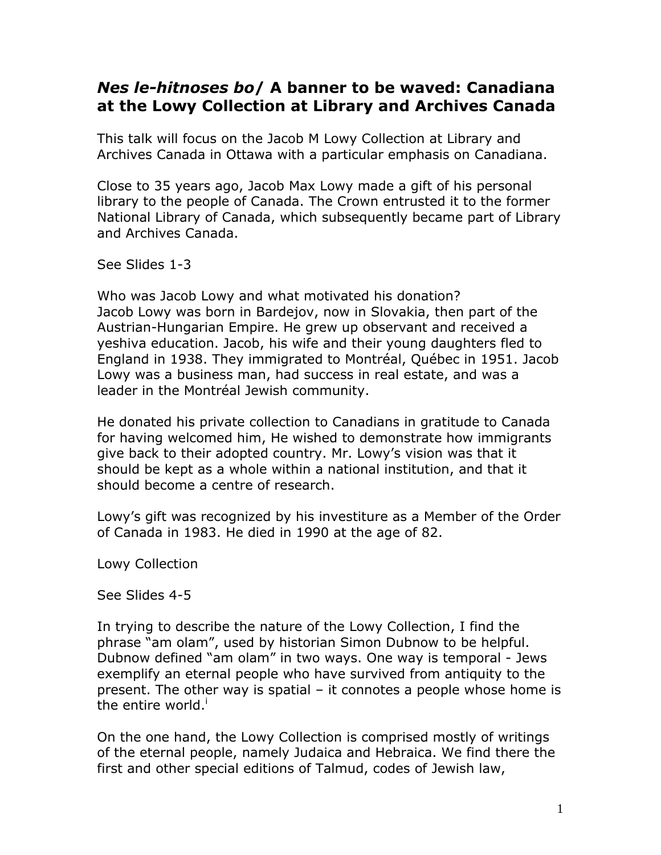# *Nes le-hitnoses bo***/ A banner to be waved: Canadiana at the Lowy Collection at Library and Archives Canada**

This talk will focus on the Jacob M Lowy Collection at Library and Archives Canada in Ottawa with a particular emphasis on Canadiana.

Close to 35 years ago, Jacob Max Lowy made a gift of his personal library to the people of Canada. The Crown entrusted it to the former National Library of Canada, which subsequently became part of Library and Archives Canada.

See Slides 1-3

Who was Jacob Lowy and what motivated his donation? Jacob Lowy was born in Bardejov, now in Slovakia, then part of the Austrian-Hungarian Empire. He grew up observant and received a yeshiva education. Jacob, his wife and their young daughters fled to England in 1938. They immigrated to Montréal, Québec in 1951. Jacob Lowy was a business man, had success in real estate, and was a leader in the Montréal Jewish community.

He donated his private collection to Canadians in gratitude to Canada for having welcomed him, He wished to demonstrate how immigrants give back to their adopted country. Mr. Lowy's vision was that it should be kept as a whole within a national institution, and that it should become a centre of research.

Lowy's gift was recognized by his investiture as a Member of the Order of Canada in 1983. He died in 1990 at the age of 82.

Lowy Collection

See Slides 4-5

In trying to describe the nature of the Lowy Collection, I find the phrase "am olam", used by historian Simon Dubnow to be helpful. Dubnow defined "am olam" in two ways. One way is temporal - Jews exemplify an eternal people who have survived from antiquity to the present. The other way is spatial – it connotes a people whose home is the entire world. $^{\mathsf{i}}$ 

On the one hand, the Lowy Collection is comprised mostly of writings of the eternal people, namely Judaica and Hebraica. We find there the first and other special editions of Talmud, codes of Jewish law,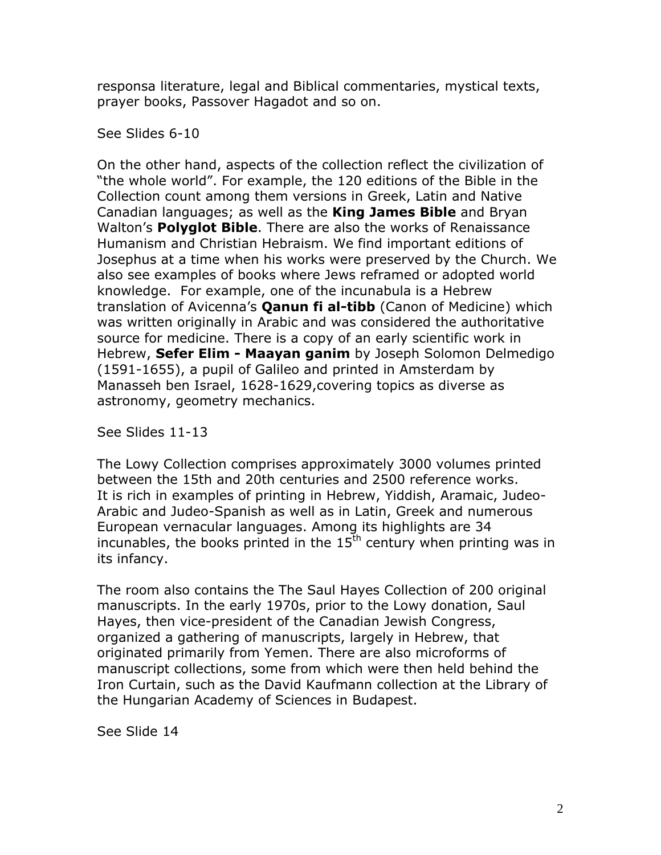responsa literature, legal and Biblical commentaries, mystical texts, prayer books, Passover Hagadot and so on.

See Slides 6-10

On the other hand, aspects of the collection reflect the civilization of "the whole world". For example, the 120 editions of the Bible in the Collection count among them versions in Greek, Latin and Native Canadian languages; as well as the **King James Bible** and Bryan Walton's **Polyglot Bible**. There are also the works of Renaissance Humanism and Christian Hebraism. We find important editions of Josephus at a time when his works were preserved by the Church. We also see examples of books where Jews reframed or adopted world knowledge. For example, one of the incunabula is a Hebrew translation of Avicenna's **Qanun fi al-tibb** (Canon of Medicine) which was written originally in Arabic and was considered the authoritative source for medicine. There is a copy of an early scientific work in Hebrew, **Sefer Elim - Maayan ganim** by Joseph Solomon Delmedigo (1591-1655), a pupil of Galileo and printed in Amsterdam by Manasseh ben Israel, 1628-1629,covering topics as diverse as astronomy, geometry mechanics.

See Slides 11-13

The Lowy Collection comprises approximately 3000 volumes printed between the 15th and 20th centuries and 2500 reference works. It is rich in examples of printing in Hebrew, Yiddish, Aramaic, Judeo-Arabic and Judeo-Spanish as well as in Latin, Greek and numerous European vernacular languages. Among its highlights are 34 incunables, the books printed in the  $15<sup>th</sup>$  century when printing was in its infancy.

The room also contains the The Saul Hayes Collection of 200 original manuscripts. In the early 1970s, prior to the Lowy donation, Saul Hayes, then vice-president of the Canadian Jewish Congress, organized a gathering of manuscripts, largely in Hebrew, that originated primarily from Yemen. There are also microforms of manuscript collections, some from which were then held behind the Iron Curtain, such as the David Kaufmann collection at the Library of the Hungarian Academy of Sciences in Budapest.

See Slide 14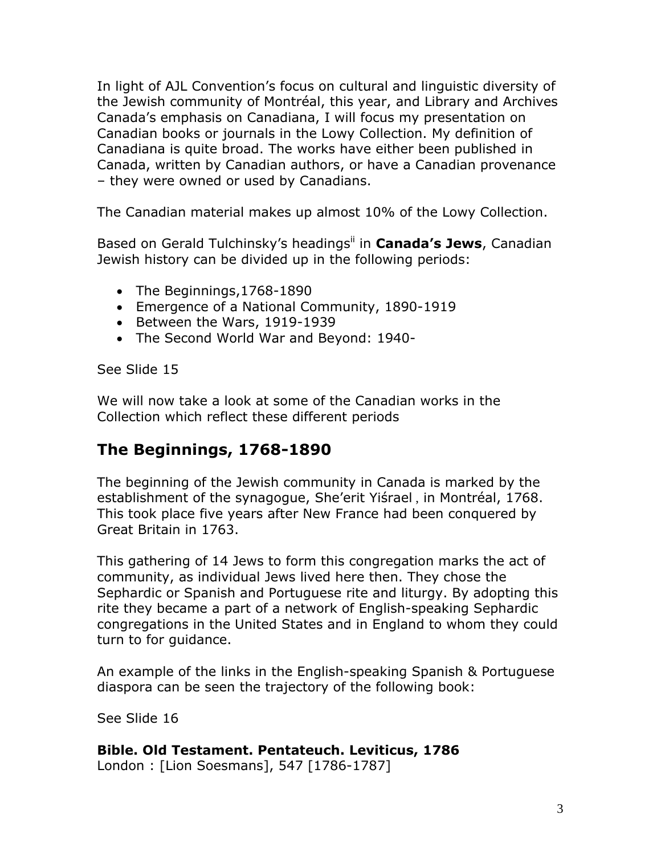In light of AJL Convention's focus on cultural and linguistic diversity of the Jewish community of Montréal, this year, and Library and Archives Canada's emphasis on Canadiana, I will focus my presentation on Canadian books or journals in the Lowy Collection. My definition of Canadiana is quite broad. The works have either been published in Canada, written by Canadian authors, or have a Canadian provenance – they were owned or used by Canadians.

The Canadian material makes up almost 10% of the Lowy Collection.

Based on Gerald Tulchinsky's headingsii in **Canada's Jews**, Canadian Jewish history can be divided up in the following periods:

- The Beginnings, 1768-1890
- Emergence of a National Community, 1890-1919
- Between the Wars, 1919-1939
- The Second World War and Beyond: 1940-

See Slide 15

We will now take a look at some of the Canadian works in the Collection which reflect these different periods

# **The Beginnings, 1768-1890**

The beginning of the Jewish community in Canada is marked by the establishment of the synagogue, She'erit Yiśrael, in Montréal, 1768. This took place five years after New France had been conquered by Great Britain in 1763.

This gathering of 14 Jews to form this congregation marks the act of community, as individual Jews lived here then. They chose the Sephardic or Spanish and Portuguese rite and liturgy. By adopting this rite they became a part of a network of English-speaking Sephardic congregations in the United States and in England to whom they could turn to for guidance.

An example of the links in the English-speaking Spanish & Portuguese diaspora can be seen the trajectory of the following book:

See Slide 16

### **Bible. Old Testament. Pentateuch. Leviticus, 1786**

London : [Lion Soesmans], 547 [1786-1787]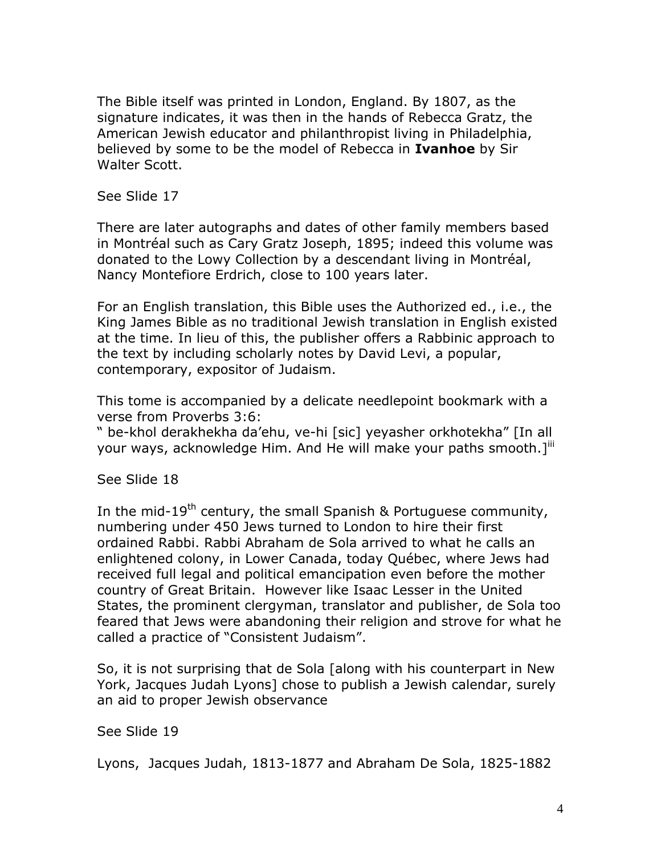The Bible itself was printed in London, England. By 1807, as the signature indicates, it was then in the hands of Rebecca Gratz, the American Jewish educator and philanthropist living in Philadelphia, believed by some to be the model of Rebecca in **Ivanhoe** by Sir Walter Scott.

See Slide 17

There are later autographs and dates of other family members based in Montréal such as Cary Gratz Joseph, 1895; indeed this volume was donated to the Lowy Collection by a descendant living in Montréal, Nancy Montefiore Erdrich, close to 100 years later.

For an English translation, this Bible uses the Authorized ed., i.e., the King James Bible as no traditional Jewish translation in English existed at the time. In lieu of this, the publisher offers a Rabbinic approach to the text by including scholarly notes by David Levi, a popular, contemporary, expositor of Judaism.

This tome is accompanied by a delicate needlepoint bookmark with a verse from Proverbs 3:6:

" be-khol derakhekha da'ehu, ve-hi [sic] yeyasher orkhotekha" [In all your ways, acknowledge Him. And He will make your paths smooth. $I^{\text{III}}$ 

See Slide 18

In the mid-19<sup>th</sup> century, the small Spanish & Portuguese community, numbering under 450 Jews turned to London to hire their first ordained Rabbi. Rabbi Abraham de Sola arrived to what he calls an enlightened colony, in Lower Canada, today Québec, where Jews had received full legal and political emancipation even before the mother country of Great Britain. However like Isaac Lesser in the United States, the prominent clergyman, translator and publisher, de Sola too feared that Jews were abandoning their religion and strove for what he called a practice of "Consistent Judaism".

So, it is not surprising that de Sola [along with his counterpart in New York, Jacques Judah Lyons] chose to publish a Jewish calendar, surely an aid to proper Jewish observance

See Slide 19

Lyons, Jacques Judah, 1813-1877 and Abraham De Sola, 1825-1882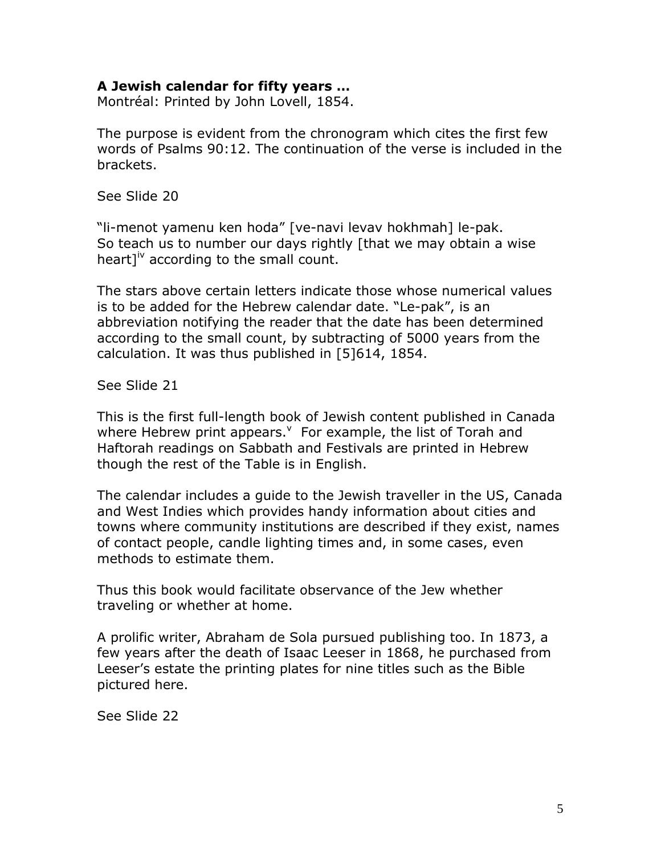#### **A Jewish calendar for fifty years …**

Montréal: Printed by John Lovell, 1854.

The purpose is evident from the chronogram which cites the first few words of Psalms 90:12. The continuation of the verse is included in the brackets.

See Slide 20

"li-menot yamenu ken hoda" [ve-navi levav hokhmah] le-pak. So teach us to number our days rightly [that we may obtain a wise heart]<sup>iv</sup> according to the small count.

The stars above certain letters indicate those whose numerical values is to be added for the Hebrew calendar date. "Le-pak", is an abbreviation notifying the reader that the date has been determined according to the small count, by subtracting of 5000 years from the calculation. It was thus published in [5]614, 1854.

See Slide 21

This is the first full-length book of Jewish content published in Canada where Hebrew print appears.  $\sqrt{ }$  For example, the list of Torah and Haftorah readings on Sabbath and Festivals are printed in Hebrew though the rest of the Table is in English.

The calendar includes a guide to the Jewish traveller in the US, Canada and West Indies which provides handy information about cities and towns where community institutions are described if they exist, names of contact people, candle lighting times and, in some cases, even methods to estimate them.

Thus this book would facilitate observance of the Jew whether traveling or whether at home.

A prolific writer, Abraham de Sola pursued publishing too. In 1873, a few years after the death of Isaac Leeser in 1868, he purchased from Leeser's estate the printing plates for nine titles such as the Bible pictured here.

See Slide 22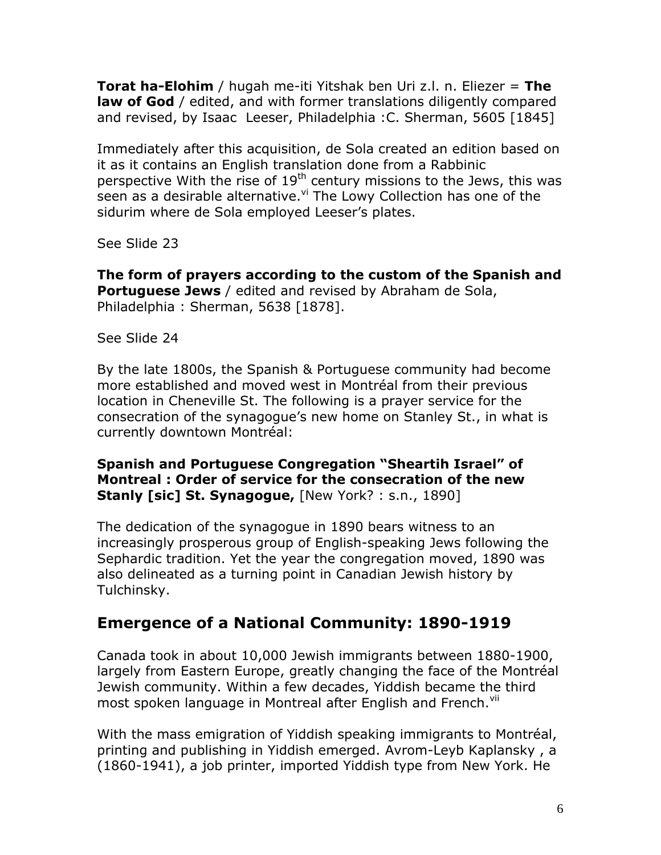**Torat ha-Elohim** / hugah me-iti Yitshak ben Uri z.l. n. Eliezer = **The law of God** / edited, and with former translations diligently compared and revised, by Isaac Leeser, Philadelphia :C. Sherman, 5605 [1845]

Immediately after this acquisition, de Sola created an edition based on it as it contains an English translation done from a Rabbinic perspective With the rise of  $19<sup>th</sup>$  century missions to the Jews, this was seen as a desirable alternative. Vi The Lowy Collection has one of the sidurim where de Sola employed Leeser's plates.

See Slide 23

**The form of prayers according to the custom of the Spanish and Portuguese Jews** / edited and revised by Abraham de Sola, Philadelphia: Sherman, 5638 [1878].

See Slide 24

By the late 1800s, the Spanish & Portuguese community had become more established and moved west in Montréal from their previous location in Cheneville St. The following is a prayer service for the consecration of the synagogue's new home on Stanley St., in what is currently downtown Montréal:

### **Spanish and Portuguese Congregation "Sheartih Israel" of Montreal : Order of service for the consecration of the new Stanly [sic] St. Synagogue,** [New York? : s.n., 1890]

The dedication of the synagogue in 1890 bears witness to an increasingly prosperous group of English-speaking Jews following the Sephardic tradition. Yet the year the congregation moved, 1890 was also delineated as a turning point in Canadian Jewish history by Tulchinsky.

# **Emergence of a National Community: 1890-1919**

Canada took in about 10,000 Jewish immigrants between 1880-1900, largely from Eastern Europe, greatly changing the face of the Montréal Jewish community. Within a few decades, Yiddish became the third most spoken language in Montreal after English and French.<sup>vii</sup>

With the mass emigration of Yiddish speaking immigrants to Montréal, printing and publishing in Yiddish emerged. Avrom-Leyb Kaplansky , a (1860-1941), a job printer, imported Yiddish type from New York. He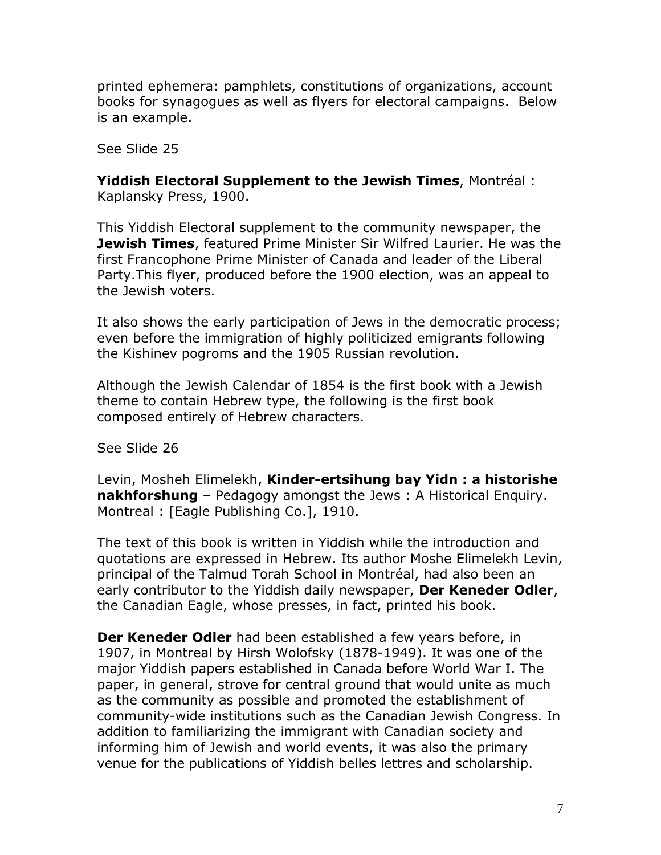printed ephemera: pamphlets, constitutions of organizations, account books for synagogues as well as flyers for electoral campaigns. Below is an example.

See Slide 25

**Yiddish Electoral Supplement to the Jewish Times**, Montréal : Kaplansky Press, 1900.

This Yiddish Electoral supplement to the community newspaper, the **Jewish Times**, featured Prime Minister Sir Wilfred Laurier. He was the first Francophone Prime Minister of Canada and leader of the Liberal Party.This flyer, produced before the 1900 election, was an appeal to the Jewish voters.

It also shows the early participation of Jews in the democratic process; even before the immigration of highly politicized emigrants following the Kishinev pogroms and the 1905 Russian revolution.

Although the Jewish Calendar of 1854 is the first book with a Jewish theme to contain Hebrew type, the following is the first book composed entirely of Hebrew characters.

See Slide 26

Levin, Mosheh Elimelekh, **Kinder-ertsihung bay Yidn : a historishe nakhforshung** – Pedagogy amongst the Jews : A Historical Enquiry. Montreal : [Eagle Publishing Co.], 1910.

The text of this book is written in Yiddish while the introduction and quotations are expressed in Hebrew. Its author Moshe Elimelekh Levin, principal of the Talmud Torah School in Montréal, had also been an early contributor to the Yiddish daily newspaper, **Der Keneder Odler**, the Canadian Eagle, whose presses, in fact, printed his book.

**Der Keneder Odler** had been established a few years before, in 1907, in Montreal by Hirsh Wolofsky (1878-1949). It was one of the major Yiddish papers established in Canada before World War I. The paper, in general, strove for central ground that would unite as much as the community as possible and promoted the establishment of community-wide institutions such as the Canadian Jewish Congress. In addition to familiarizing the immigrant with Canadian society and informing him of Jewish and world events, it was also the primary venue for the publications of Yiddish belles lettres and scholarship.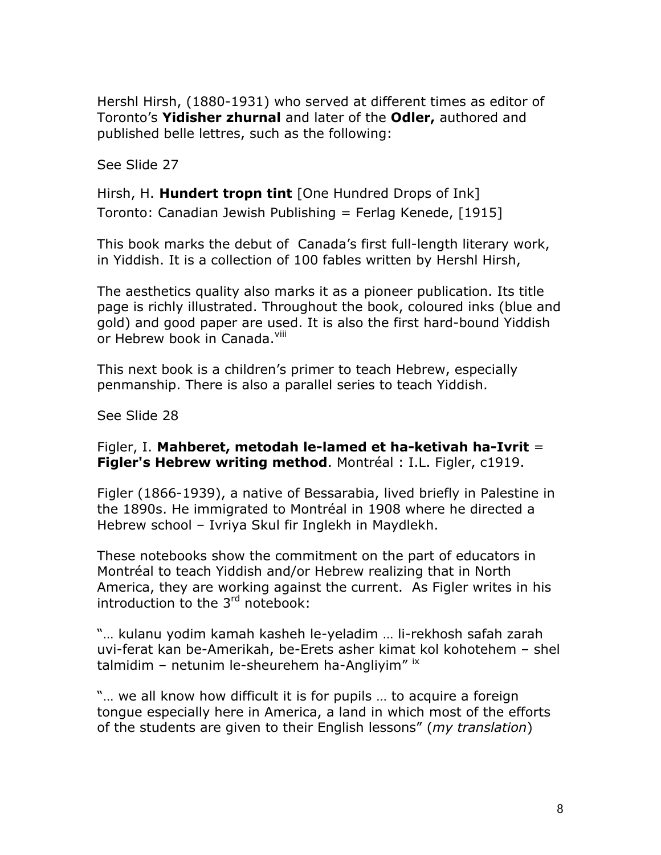Hershl Hirsh, (1880-1931) who served at different times as editor of Toronto's **Yidisher zhurnal** and later of the **Odler,** authored and published belle lettres, such as the following:

See Slide 27

Hirsh, H. **Hundert tropn tint** [One Hundred Drops of Ink] Toronto: Canadian Jewish Publishing = Ferlag Kenede, [1915]

This book marks the debut of Canada's first full-length literary work, in Yiddish. It is a collection of 100 fables written by Hershl Hirsh,

The aesthetics quality also marks it as a pioneer publication. Its title page is richly illustrated. Throughout the book, coloured inks (blue and gold) and good paper are used. It is also the first hard-bound Yiddish or Hebrew book in Canada. Vill

This next book is a children's primer to teach Hebrew, especially penmanship. There is also a parallel series to teach Yiddish.

See Slide 28

Figler, I. **Mahberet, metodah le-lamed et ha-ketivah ha-Ivrit** = **Figler's Hebrew writing method**. Montréal : I.L. Figler, c1919.

Figler (1866-1939), a native of Bessarabia, lived briefly in Palestine in the 1890s. He immigrated to Montréal in 1908 where he directed a Hebrew school – Ivriya Skul fir Inglekh in Maydlekh.

These notebooks show the commitment on the part of educators in Montréal to teach Yiddish and/or Hebrew realizing that in North America, they are working against the current. As Figler writes in his introduction to the  $3<sup>rd</sup>$  notebook:

"… kulanu yodim kamah kasheh le-yeladim … li-rekhosh safah zarah uvi-ferat kan be-Amerikah, be-Erets asher kimat kol kohotehem – shel talmidim – netunim le-sheurehem ha-Angliyim"  $\frac{1}{1}$ 

"… we all know how difficult it is for pupils … to acquire a foreign tongue especially here in America, a land in which most of the efforts of the students are given to their English lessons" (*my translation*)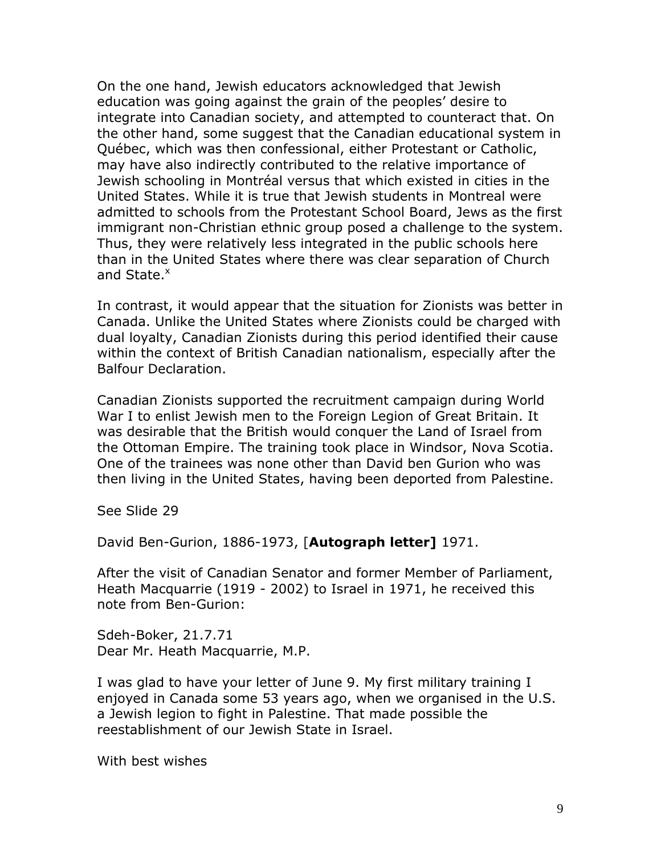On the one hand, Jewish educators acknowledged that Jewish education was going against the grain of the peoples' desire to integrate into Canadian society, and attempted to counteract that. On the other hand, some suggest that the Canadian educational system in Québec, which was then confessional, either Protestant or Catholic, may have also indirectly contributed to the relative importance of Jewish schooling in Montréal versus that which existed in cities in the United States. While it is true that Jewish students in Montreal were admitted to schools from the Protestant School Board, Jews as the first immigrant non-Christian ethnic group posed a challenge to the system. Thus, they were relatively less integrated in the public schools here than in the United States where there was clear separation of Church and State.<sup>x</sup>

In contrast, it would appear that the situation for Zionists was better in Canada. Unlike the United States where Zionists could be charged with dual loyalty, Canadian Zionists during this period identified their cause within the context of British Canadian nationalism, especially after the Balfour Declaration.

Canadian Zionists supported the recruitment campaign during World War I to enlist Jewish men to the Foreign Legion of Great Britain. It was desirable that the British would conquer the Land of Israel from the Ottoman Empire. The training took place in Windsor, Nova Scotia. One of the trainees was none other than David ben Gurion who was then living in the United States, having been deported from Palestine.

See Slide 29

David Ben-Gurion, 1886-1973, [**Autograph letter]** 1971.

After the visit of Canadian Senator and former Member of Parliament, Heath Macquarrie (1919 - 2002) to Israel in 1971, he received this note from Ben-Gurion:

Sdeh-Boker, 21.7.71 Dear Mr. Heath Macquarrie, M.P.

I was glad to have your letter of June 9. My first military training I enjoyed in Canada some 53 years ago, when we organised in the U.S. a Jewish legion to fight in Palestine. That made possible the reestablishment of our Jewish State in Israel.

With best wishes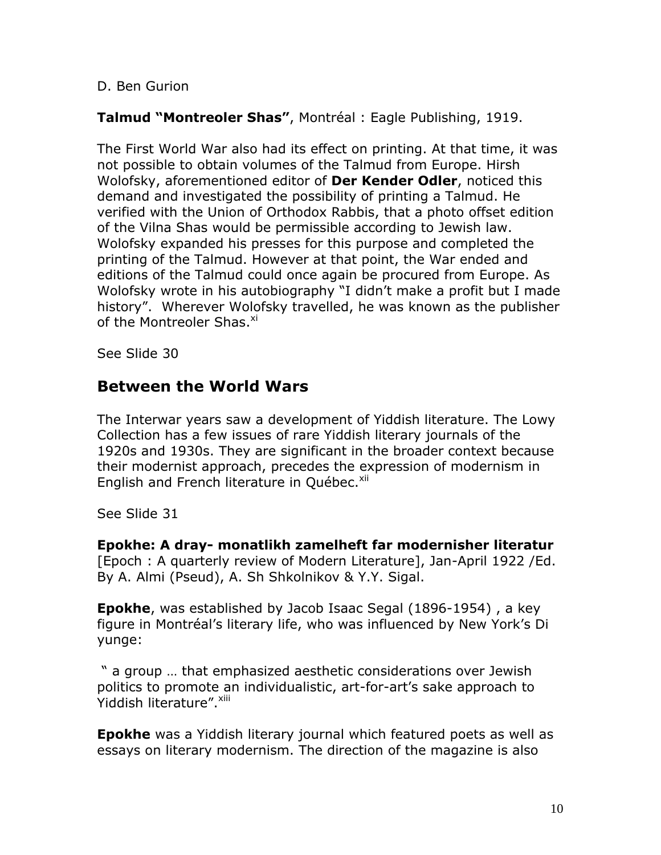#### D. Ben Gurion

### **Talmud "Montreoler Shas"**, Montréal : Eagle Publishing, 1919.

The First World War also had its effect on printing. At that time, it was not possible to obtain volumes of the Talmud from Europe. Hirsh Wolofsky, aforementioned editor of **Der Kender Odler**, noticed this demand and investigated the possibility of printing a Talmud. He verified with the Union of Orthodox Rabbis, that a photo offset edition of the Vilna Shas would be permissible according to Jewish law. Wolofsky expanded his presses for this purpose and completed the printing of the Talmud. However at that point, the War ended and editions of the Talmud could once again be procured from Europe. As Wolofsky wrote in his autobiography "I didn't make a profit but I made history". Wherever Wolofsky travelled, he was known as the publisher of the Montreoler Shas.<sup>xi</sup>

See Slide 30

## **Between the World Wars**

The Interwar years saw a development of Yiddish literature. The Lowy Collection has a few issues of rare Yiddish literary journals of the 1920s and 1930s. They are significant in the broader context because their modernist approach, precedes the expression of modernism in English and French literature in Québec.<sup>xii</sup>

See Slide 31

**Epokhe: A dray- monatlikh zamelheft far modernisher literatur** [Epoch : A quarterly review of Modern Literature], Jan-April 1922 /Ed.

By A. Almi (Pseud), A. Sh Shkolnikov & Y.Y. Sigal.

**Epokhe**, was established by Jacob Isaac Segal (1896-1954) , a key figure in Montréal's literary life, who was influenced by New York's Di yunge:

" a group … that emphasized aesthetic considerations over Jewish politics to promote an individualistic, art-for-art's sake approach to Yiddish literature". Xiii

**Epokhe** was a Yiddish literary journal which featured poets as well as essays on literary modernism. The direction of the magazine is also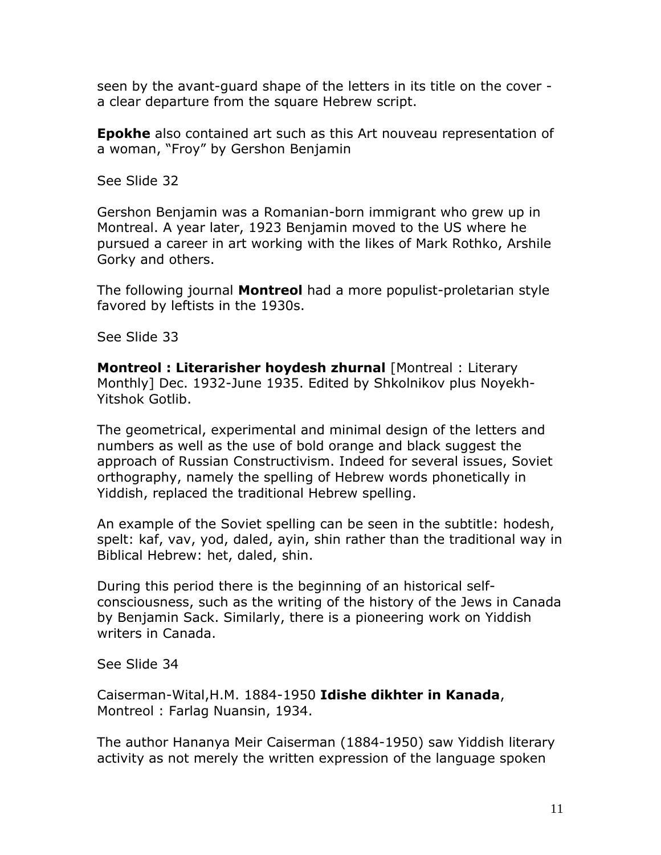seen by the avant-guard shape of the letters in its title on the cover a clear departure from the square Hebrew script.

**Epokhe** also contained art such as this Art nouveau representation of a woman, "Froy" by Gershon Benjamin

See Slide 32

Gershon Benjamin was a Romanian-born immigrant who grew up in Montreal. A year later, 1923 Benjamin moved to the US where he pursued a career in art working with the likes of Mark Rothko, Arshile Gorky and others.

The following journal **Montreol** had a more populist-proletarian style favored by leftists in the 1930s.

See Slide 33

**Montreol : Literarisher hoydesh zhurnal** [Montreal : Literary Monthly] Dec. 1932-June 1935. Edited by Shkolnikov plus Noyekh-Yitshok Gotlib.

The geometrical, experimental and minimal design of the letters and numbers as well as the use of bold orange and black suggest the approach of Russian Constructivism. Indeed for several issues, Soviet orthography, namely the spelling of Hebrew words phonetically in Yiddish, replaced the traditional Hebrew spelling.

An example of the Soviet spelling can be seen in the subtitle: hodesh, spelt: kaf, vav, yod, daled, ayin, shin rather than the traditional way in Biblical Hebrew: het, daled, shin.

During this period there is the beginning of an historical selfconsciousness, such as the writing of the history of the Jews in Canada by Benjamin Sack. Similarly, there is a pioneering work on Yiddish writers in Canada.

See Slide 34

Caiserman-Wital,H.M. 1884-1950 **Idishe dikhter in Kanada**, Montreol : Farlag Nuansin, 1934.

The author Hananya Meir Caiserman (1884-1950) saw Yiddish literary activity as not merely the written expression of the language spoken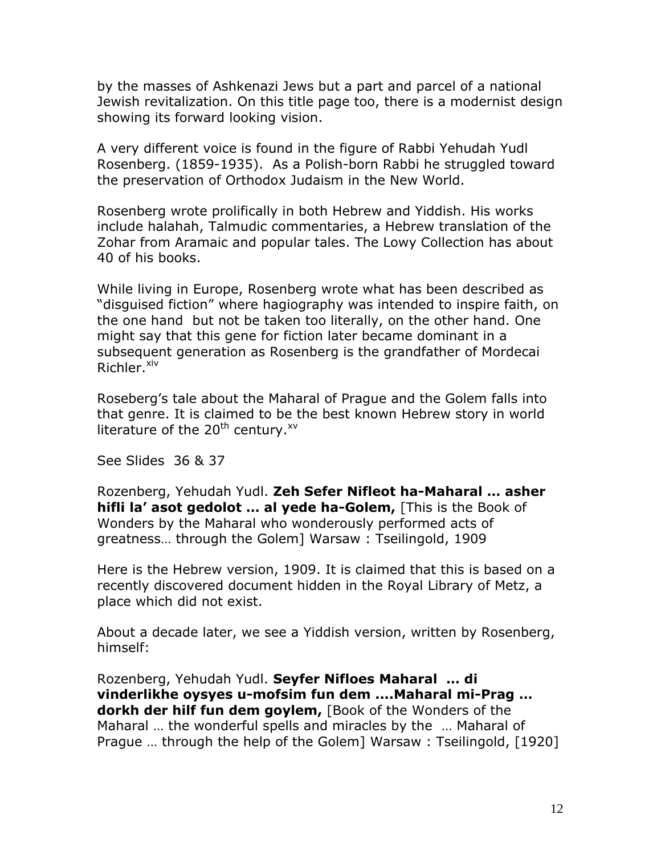by the masses of Ashkenazi Jews but a part and parcel of a national Jewish revitalization. On this title page too, there is a modernist design showing its forward looking vision.

A very different voice is found in the figure of Rabbi Yehudah Yudl Rosenberg. (1859-1935). As a Polish-born Rabbi he struggled toward the preservation of Orthodox Judaism in the New World.

Rosenberg wrote prolifically in both Hebrew and Yiddish. His works include halahah, Talmudic commentaries, a Hebrew translation of the Zohar from Aramaic and popular tales. The Lowy Collection has about 40 of his books.

While living in Europe, Rosenberg wrote what has been described as "disguised fiction" where hagiography was intended to inspire faith, on the one hand but not be taken too literally, on the other hand. One might say that this gene for fiction later became dominant in a subsequent generation as Rosenberg is the grandfather of Mordecai Richler.<sup>xiv</sup>

Roseberg's tale about the Maharal of Prague and the Golem falls into that genre. It is claimed to be the best known Hebrew story in world literature of the 20<sup>th</sup> century.<sup>xv</sup>

See Slides 36 & 37

Rozenberg, Yehudah Yudl. **Zeh Sefer Nifleot ha-Maharal … asher hifli la' asot gedolot … al yede ha-Golem,** [This is the Book of Wonders by the Maharal who wonderously performed acts of greatness… through the Golem] Warsaw : Tseilingold, 1909

Here is the Hebrew version, 1909. It is claimed that this is based on a recently discovered document hidden in the Royal Library of Metz, a place which did not exist.

About a decade later, we see a Yiddish version, written by Rosenberg, himself:

Rozenberg, Yehudah Yudl. **Seyfer Nifloes Maharal … di vinderlikhe oysyes u-mofsim fun dem ....Maharal mi-Prag … dorkh der hilf fun dem goylem,** [Book of the Wonders of the Maharal … the wonderful spells and miracles by the … Maharal of Prague … through the help of the Golem] Warsaw : Tseilingold, [1920]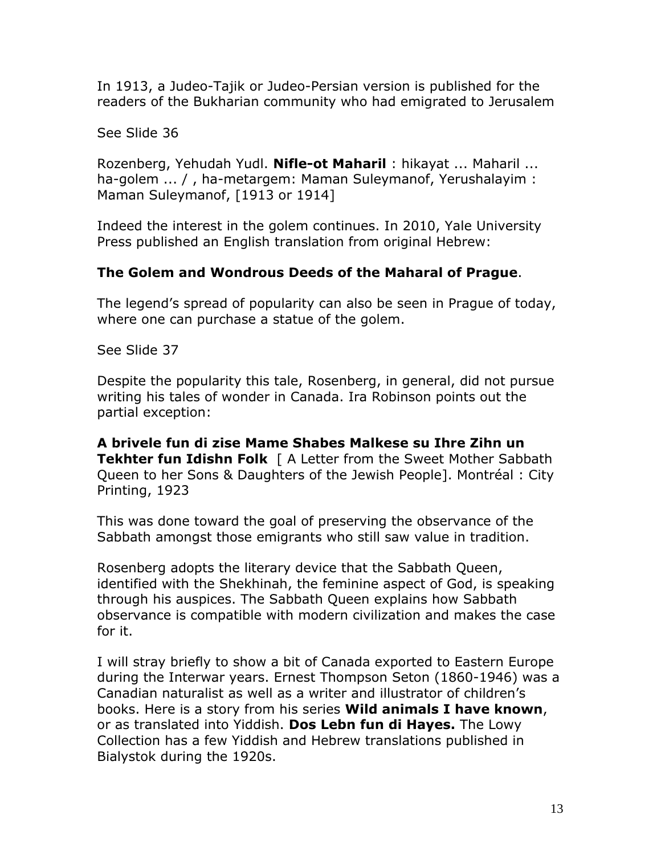In 1913, a Judeo-Tajik or Judeo-Persian version is published for the readers of the Bukharian community who had emigrated to Jerusalem

See Slide 36

Rozenberg, Yehudah Yudl. **Nifle-ot Maharil** : hikayat ... Maharil ... ha-golem ... / , ha-metargem: Maman Suleymanof, Yerushalayim : Maman Suleymanof, [1913 or 1914]

Indeed the interest in the golem continues. In 2010, Yale University Press published an English translation from original Hebrew:

### **The Golem and Wondrous Deeds of the Maharal of Prague**.

The legend's spread of popularity can also be seen in Prague of today, where one can purchase a statue of the golem.

See Slide 37

Despite the popularity this tale, Rosenberg, in general, did not pursue writing his tales of wonder in Canada. Ira Robinson points out the partial exception:

**A brivele fun di zise Mame Shabes Malkese su Ihre Zihn un Tekhter fun Idishn Folk** [ A Letter from the Sweet Mother Sabbath Queen to her Sons & Daughters of the Jewish People]. Montréal : City Printing, 1923

This was done toward the goal of preserving the observance of the Sabbath amongst those emigrants who still saw value in tradition.

Rosenberg adopts the literary device that the Sabbath Queen, identified with the Shekhinah, the feminine aspect of God, is speaking through his auspices. The Sabbath Queen explains how Sabbath observance is compatible with modern civilization and makes the case for it.

I will stray briefly to show a bit of Canada exported to Eastern Europe during the Interwar years. Ernest Thompson Seton (1860-1946) was a Canadian naturalist as well as a writer and illustrator of children's books. Here is a story from his series **Wild animals I have known**, or as translated into Yiddish. **Dos Lebn fun di Hayes.** The Lowy Collection has a few Yiddish and Hebrew translations published in Bialystok during the 1920s.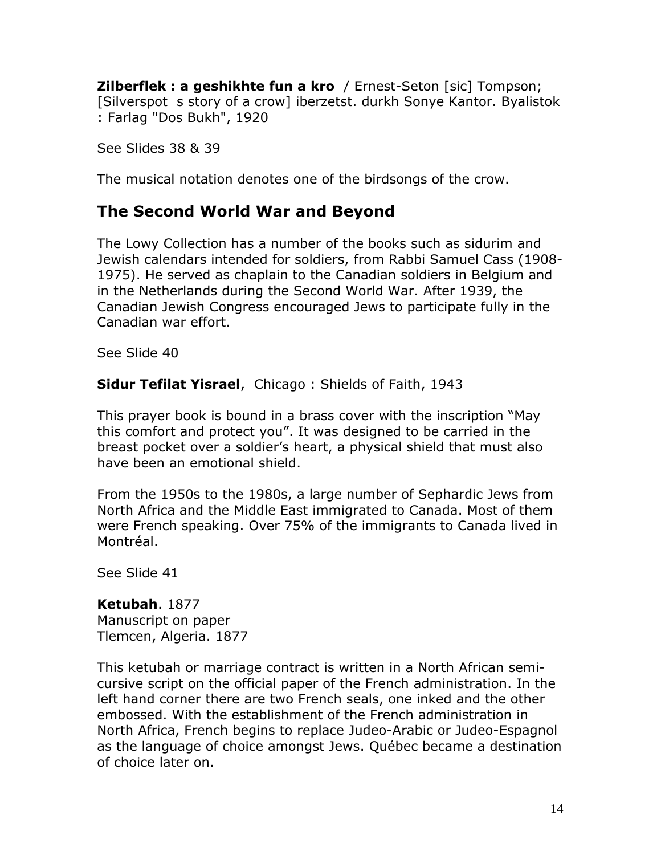**Zilberflek : a geshikhte fun a kro** / Ernest-Seton [sic] Tompson; [Silverspot s story of a crow] iberzetst. durkh Sonye Kantor. Byalistok : Farlag "Dos Bukh", 1920

See Slides 38 & 39

The musical notation denotes one of the birdsongs of the crow.

## **The Second World War and Beyond**

The Lowy Collection has a number of the books such as sidurim and Jewish calendars intended for soldiers, from Rabbi Samuel Cass (1908- 1975). He served as chaplain to the Canadian soldiers in Belgium and in the Netherlands during the Second World War. After 1939, the Canadian Jewish Congress encouraged Jews to participate fully in the Canadian war effort.

See Slide 40

**Sidur Tefilat Yisrael**, Chicago : Shields of Faith, 1943

This prayer book is bound in a brass cover with the inscription "May this comfort and protect you". It was designed to be carried in the breast pocket over a soldier's heart, a physical shield that must also have been an emotional shield.

From the 1950s to the 1980s, a large number of Sephardic Jews from North Africa and the Middle East immigrated to Canada. Most of them were French speaking. Over 75% of the immigrants to Canada lived in Montréal.

See Slide 41

**Ketubah**. 1877 Manuscript on paper Tlemcen, Algeria. 1877

This ketubah or marriage contract is written in a North African semicursive script on the official paper of the French administration. In the left hand corner there are two French seals, one inked and the other embossed. With the establishment of the French administration in North Africa, French begins to replace Judeo-Arabic or Judeo-Espagnol as the language of choice amongst Jews. Québec became a destination of choice later on.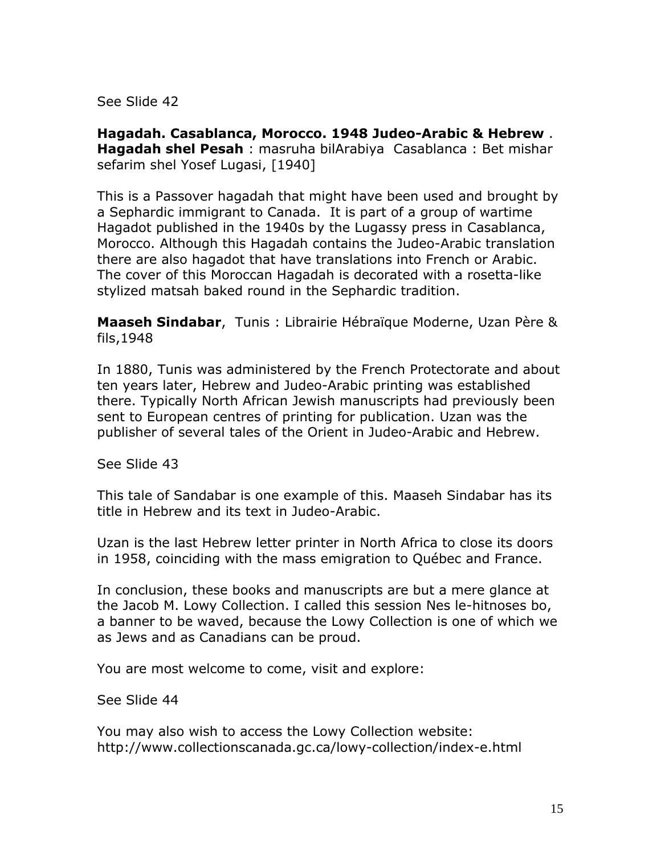See Slide 42

**Hagadah. Casablanca, Morocco. 1948 Judeo-Arabic & Hebrew** . **Hagadah shel Pesah** : masruha bilArabiya Casablanca : Bet mishar sefarim shel Yosef Lugasi, [1940]

This is a Passover hagadah that might have been used and brought by a Sephardic immigrant to Canada. It is part of a group of wartime Hagadot published in the 1940s by the Lugassy press in Casablanca, Morocco. Although this Hagadah contains the Judeo-Arabic translation there are also hagadot that have translations into French or Arabic. The cover of this Moroccan Hagadah is decorated with a rosetta-like stylized matsah baked round in the Sephardic tradition.

**Maaseh Sindabar**, Tunis : Librairie Hébraïque Moderne, Uzan Père & fils,1948

In 1880, Tunis was administered by the French Protectorate and about ten years later, Hebrew and Judeo-Arabic printing was established there. Typically North African Jewish manuscripts had previously been sent to European centres of printing for publication. Uzan was the publisher of several tales of the Orient in Judeo-Arabic and Hebrew.

See Slide 43

This tale of Sandabar is one example of this. Maaseh Sindabar has its title in Hebrew and its text in Judeo-Arabic.

Uzan is the last Hebrew letter printer in North Africa to close its doors in 1958, coinciding with the mass emigration to Québec and France.

In conclusion, these books and manuscripts are but a mere glance at the Jacob M. Lowy Collection. I called this session Nes le-hitnoses bo, a banner to be waved, because the Lowy Collection is one of which we as Jews and as Canadians can be proud.

You are most welcome to come, visit and explore:

See Slide 44

You may also wish to access the Lowy Collection website: <http://www.collectionscanada.gc.ca/lowy-collection/index-e.html>